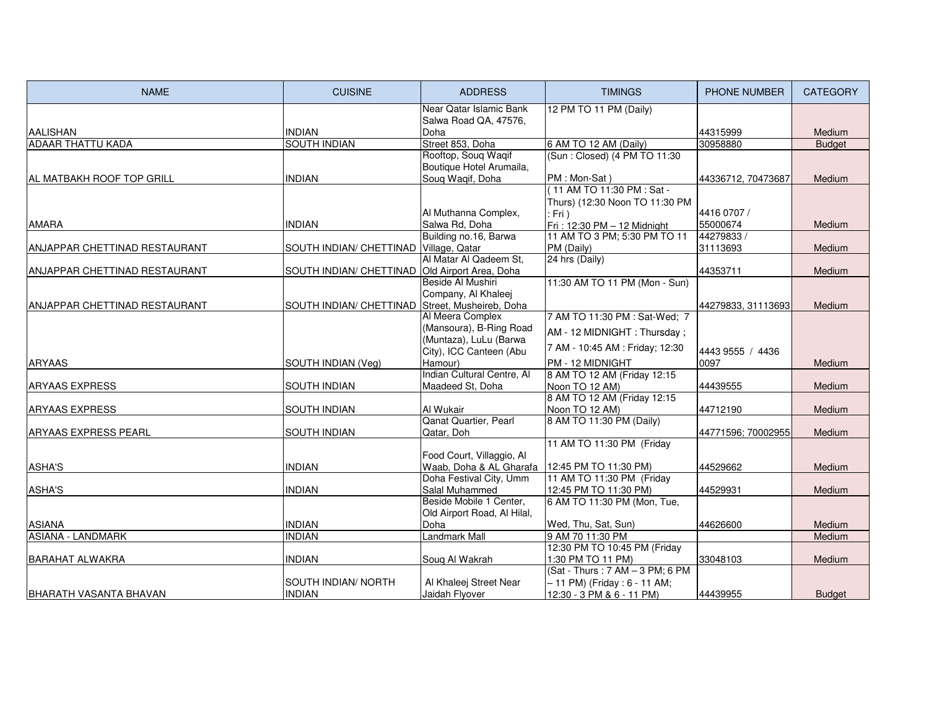| <b>NAME</b>                               | <b>CUISINE</b>                                   | <b>ADDRESS</b>                                         | <b>TIMINGS</b>                         | PHONE NUMBER       | <b>CATEGORY</b> |
|-------------------------------------------|--------------------------------------------------|--------------------------------------------------------|----------------------------------------|--------------------|-----------------|
|                                           |                                                  | Near Qatar Islamic Bank                                | 12 PM TO 11 PM (Daily)                 |                    |                 |
|                                           |                                                  | Salwa Road QA, 47576,                                  |                                        |                    |                 |
| <b>AALISHAN</b>                           | <b>INDIAN</b>                                    | Doha                                                   |                                        | 44315999           | Medium          |
| <b>ADAAR THATTU KADA</b>                  | <b>SOUTH INDIAN</b>                              | Street 853, Doha                                       | 6 AM TO 12 AM (Daily)                  | 30958880           | <b>Budget</b>   |
|                                           |                                                  | Rooftop, Soug Waqif                                    | (Sun : Closed) (4 PM TO 11:30          |                    |                 |
|                                           |                                                  | Boutique Hotel Arumaila,                               |                                        |                    |                 |
| <b>AL MATBAKH ROOF TOP GRILL</b>          | <b>INDIAN</b>                                    | Soug Wagif, Doha                                       | PM: Mon-Sat)                           | 44336712, 70473687 | Medium          |
|                                           |                                                  |                                                        | (11 AM TO 11:30 PM : Sat -             |                    |                 |
|                                           |                                                  | Al Muthanna Complex.                                   | Thurs) (12:30 Noon TO 11:30 PM         | 4416 0707 /        |                 |
| <b>AMARA</b>                              | <b>INDIAN</b>                                    | Salwa Rd, Doha                                         | : Fri )<br>Fri: 12:30 PM - 12 Midnight | 55000674           | Medium          |
|                                           |                                                  | Building no.16, Barwa                                  | 11 AM TO 3 PM; 5:30 PM TO 11           | 44279833 /         |                 |
| ANJAPPAR CHETTINAD RESTAURANT             | SOUTH INDIAN/ CHETTINAD Village, Qatar           |                                                        | PM (Daily)                             | 31113693           | Medium          |
|                                           |                                                  | Al Matar Al Qadeem St,                                 | 24 hrs (Daily)                         |                    |                 |
| <b>ANJAPPAR CHETTINAD RESTAURANT</b>      | SOUTH INDIAN/ CHETTINAD   Old Airport Area, Doha |                                                        |                                        | 44353711           | Medium          |
|                                           |                                                  | Beside Al Mushiri                                      | 11:30 AM TO 11 PM (Mon - Sun)          |                    |                 |
|                                           |                                                  | Company, Al Khaleej                                    |                                        |                    |                 |
| <b>ANJAPPAR CHETTINAD RESTAURANT</b>      | SOUTH INDIAN/ CHETTINAD Street, Musheireb, Doha  |                                                        |                                        | 44279833, 31113693 | Medium          |
|                                           |                                                  | Al Meera Complex                                       | 7 AM TO 11:30 PM : Sat-Wed; 7          |                    |                 |
|                                           |                                                  | (Mansoura), B-Ring Road                                | AM - 12 MIDNIGHT : Thursday ;          |                    |                 |
|                                           |                                                  | (Muntaza), LuLu (Barwa                                 |                                        |                    |                 |
|                                           |                                                  | City), ICC Canteen (Abu                                | 7 AM - 10:45 AM : Friday; 12:30        | 4443 9555 / 4436   |                 |
| <b>ARYAAS</b>                             | SOUTH INDIAN (Veg)                               | Hamour)                                                | PM - 12 MIDNIGHT                       | 0097               | Medium          |
|                                           |                                                  | Indian Cultural Centre, Al                             | 8 AM TO 12 AM (Friday 12:15            |                    |                 |
| <b>ARYAAS EXPRESS</b>                     | <b>SOUTH INDIAN</b>                              | Maadeed St, Doha                                       | Noon TO 12 AM)                         | 44439555           | Medium          |
|                                           |                                                  |                                                        | 8 AM TO 12 AM (Friday 12:15            |                    |                 |
| <b>ARYAAS EXPRESS</b>                     | <b>SOUTH INDIAN</b>                              | Al Wukair                                              | Noon TO 12 AM)                         | 44712190           | Medium          |
|                                           |                                                  | Qanat Quartier, Pearl                                  | 8 AM TO 11:30 PM (Daily)               |                    |                 |
| ARYAAS EXPRESS PEARL                      | <b>SOUTH INDIAN</b>                              | Qatar, Doh                                             |                                        | 44771596: 70002955 | Medium          |
|                                           |                                                  |                                                        | 11 AM TO 11:30 PM (Friday              |                    |                 |
|                                           |                                                  | Food Court, Villaggio, Al                              |                                        |                    |                 |
| <b>ASHA'S</b>                             | <b>INDIAN</b>                                    | Waab, Doha & AL Gharafa   12:45 PM TO 11:30 PM)        |                                        | 44529662           | Medium          |
|                                           |                                                  | Doha Festival City, Umm                                | 11 AM TO 11:30 PM (Friday              |                    |                 |
| ASHA'S                                    | <b>INDIAN</b>                                    | Salal Muhammed                                         | 12:45 PM TO 11:30 PM)                  | 44529931           | Medium          |
|                                           |                                                  | Beside Mobile 1 Center,<br>Old Airport Road, Al Hilal, | 6 AM TO 11:30 PM (Mon, Tue,            |                    |                 |
|                                           | <b>INDIAN</b>                                    | Doha                                                   | Wed, Thu, Sat, Sun)                    | 44626600           | Medium          |
| <b>ASIANA</b><br><b>ASIANA - LANDMARK</b> | <b>INDIAN</b>                                    | Landmark Mall                                          | 9 AM 70 11:30 PM                       |                    | Medium          |
|                                           |                                                  |                                                        | 12:30 PM TO 10:45 PM (Friday           |                    |                 |
| <b>BARAHAT ALWAKRA</b>                    | <b>INDIAN</b>                                    | Soug Al Wakrah                                         | 1:30 PM TO 11 PM)                      | 33048103           | Medium          |
|                                           |                                                  |                                                        | (Sat - Thurs : 7 AM - 3 PM; 6 PM       |                    |                 |
|                                           | <b>SOUTH INDIAN/ NORTH</b>                       | Al Khaleej Street Near                                 | - 11 PM) (Friday: 6 - 11 AM;           |                    |                 |
| <b>BHARATH VASANTA BHAVAN</b>             | <b>INDIAN</b>                                    | Jaidah Flyover                                         | 12:30 - 3 PM & 6 - 11 PM)              | 44439955           | <b>Budget</b>   |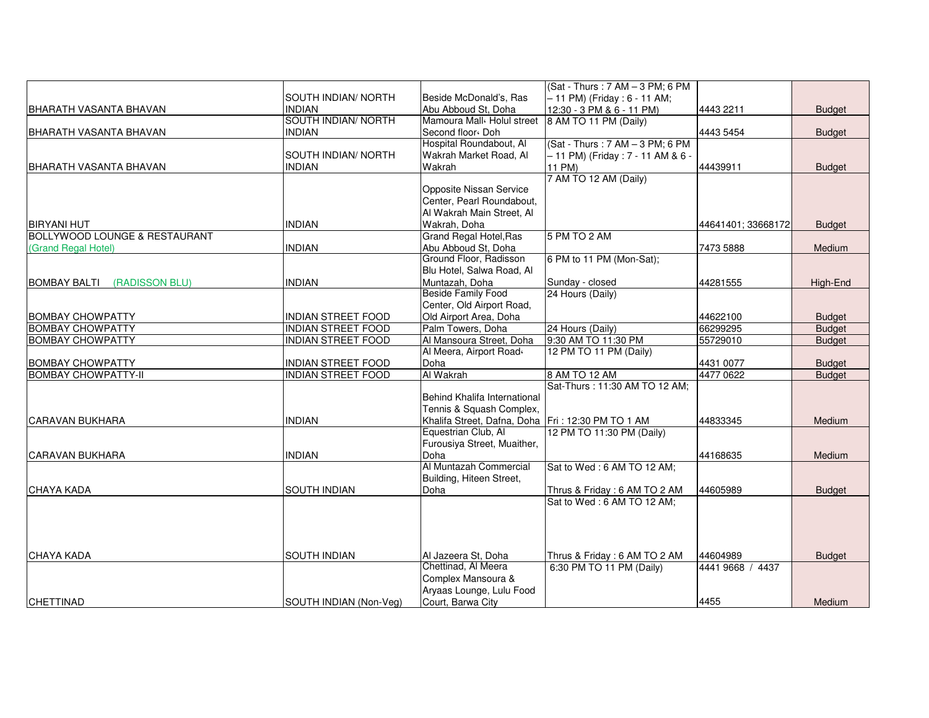|                                          |                            |                                                      | $(Sat - Thus : 7 AM - 3 PM; 6 PM$  |                    |               |
|------------------------------------------|----------------------------|------------------------------------------------------|------------------------------------|--------------------|---------------|
|                                          | SOUTH INDIAN/ NORTH        | Beside McDonald's, Ras                               | $-11$ PM) (Friday: 6 - 11 AM;      |                    |               |
| BHARATH VASANTA BHAVAN                   | <b>INDIAN</b>              | Abu Abboud St, Doha                                  | 12:30 - 3 PM & 6 - 11 PM)          | 4443 2211          | <b>Budget</b> |
|                                          | <b>SOUTH INDIAN/ NORTH</b> | Mamoura Mall Holul street 8 AM TO 11 PM (Daily)      |                                    |                    |               |
| BHARATH VASANTA BHAVAN                   | <b>INDIAN</b>              | Second floor Doh                                     |                                    | 4443 5454          | <b>Budget</b> |
|                                          |                            | Hospital Roundabout, Al                              | (Sat - Thurs : 7 AM - 3 PM; 6 PM   |                    |               |
|                                          | <b>SOUTH INDIAN/ NORTH</b> | Wakrah Market Road, Al                               | - 11 PM) (Friday : 7 - 11 AM & 6 - |                    |               |
| BHARATH VASANTA BHAVAN                   | <b>INDIAN</b>              | Wakrah                                               | 11 PM)                             | 44439911           | <b>Budget</b> |
|                                          |                            |                                                      | 7 AM TO 12 AM (Daily)              |                    |               |
|                                          |                            | Opposite Nissan Service                              |                                    |                    |               |
|                                          |                            | Center, Pearl Roundabout,                            |                                    |                    |               |
|                                          |                            | Al Wakrah Main Street, Al                            |                                    |                    |               |
| IBIRYANI HUT                             | <b>INDIAN</b>              | Wakrah, Doha                                         |                                    | 44641401; 33668172 | <b>Budget</b> |
| <b>BOLLYWOOD LOUNGE &amp; RESTAURANT</b> |                            | <b>Grand Regal Hotel, Ras</b>                        | 5 PM TO 2 AM                       |                    |               |
| (Grand Regal Hotel)                      | <b>INDIAN</b>              | Abu Abboud St, Doha                                  |                                    | 7473 5888          | Medium        |
|                                          |                            | Ground Floor, Radisson                               | 6 PM to 11 PM (Mon-Sat);           |                    |               |
|                                          |                            | Blu Hotel, Salwa Road, Al                            |                                    |                    |               |
| (RADISSON BLU)<br><b>BOMBAY BALTI</b>    | <b>INDIAN</b>              | Muntazah, Doha                                       | Sunday - closed                    | 44281555           | High-End      |
|                                          |                            | <b>Beside Family Food</b>                            | 24 Hours (Daily)                   |                    |               |
|                                          |                            | Center, Old Airport Road,                            |                                    |                    |               |
| <b>BOMBAY CHOWPATTY</b>                  | INDIAN STREET FOOD         | Old Airport Area, Doha                               |                                    | 44622100           | <b>Budget</b> |
| <b>BOMBAY CHOWPATTY</b>                  | <b>INDIAN STREET FOOD</b>  | Palm Towers, Doha                                    | 24 Hours (Daily)                   | 66299295           | <b>Budget</b> |
| <b>BOMBAY CHOWPATTY</b>                  | <b>INDIAN STREET FOOD</b>  | Al Mansoura Street, Doha                             | 9:30 AM TO 11:30 PM                | 55729010           | <b>Budget</b> |
|                                          |                            | Al Meera, Airport Road                               | 12 PM TO 11 PM (Daily)             |                    |               |
| <b>BOMBAY CHOWPATTY</b>                  | <b>INDIAN STREET FOOD</b>  | Doha                                                 |                                    | 4431 0077          | <b>Budget</b> |
| <b>BOMBAY CHOWPATTY-II</b>               | <b>INDIAN STREET FOOD</b>  | Al Wakrah                                            | 8 AM TO 12 AM                      | 4477 0622          | <b>Budget</b> |
|                                          |                            |                                                      | Sat-Thurs: 11:30 AM TO 12 AM;      |                    |               |
|                                          |                            | Behind Khalifa International                         |                                    |                    |               |
|                                          |                            | Tennis & Squash Complex,                             |                                    |                    |               |
| CARAVAN BUKHARA                          | <b>INDIAN</b>              | Khalifa Street, Dafna, Doha   Fri : 12:30 PM TO 1 AM |                                    | 44833345           | Medium        |
|                                          |                            | Equestrian Club, Al                                  | 12 PM TO 11:30 PM (Daily)          |                    |               |
|                                          |                            | Furousiya Street, Muaither,                          |                                    |                    |               |
| <b>CARAVAN BUKHARA</b>                   | <b>INDIAN</b>              | Doha                                                 |                                    | 44168635           | Medium        |
|                                          |                            | Al Muntazah Commercial                               | Sat to Wed: 6 AM TO 12 AM;         |                    |               |
|                                          |                            | Building, Hiteen Street,                             |                                    |                    |               |
| <b>CHAYA KADA</b>                        | <b>SOUTH INDIAN</b>        | Doha                                                 | Thrus & Friday: 6 AM TO 2 AM       | 44605989           | <b>Budget</b> |
|                                          |                            |                                                      | Sat to Wed: 6 AM TO 12 AM;         |                    |               |
|                                          |                            |                                                      |                                    |                    |               |
|                                          |                            |                                                      |                                    |                    |               |
|                                          |                            |                                                      |                                    |                    |               |
| <b>CHAYA KADA</b>                        | SOUTH INDIAN               | Al Jazeera St, Doha                                  | Thrus & Friday: 6 AM TO 2 AM       | 44604989           | <b>Budget</b> |
|                                          |                            | Chettinad, Al Meera                                  | 6:30 PM TO 11 PM (Daily)           | 4441 9668 / 4437   |               |
|                                          |                            | Complex Mansoura &                                   |                                    |                    |               |
|                                          |                            | Aryaas Lounge, Lulu Food                             |                                    |                    |               |
| <b>CHETTINAD</b>                         | SOUTH INDIAN (Non-Veg)     | Court, Barwa City                                    |                                    | 4455               | Medium        |
|                                          |                            |                                                      |                                    |                    |               |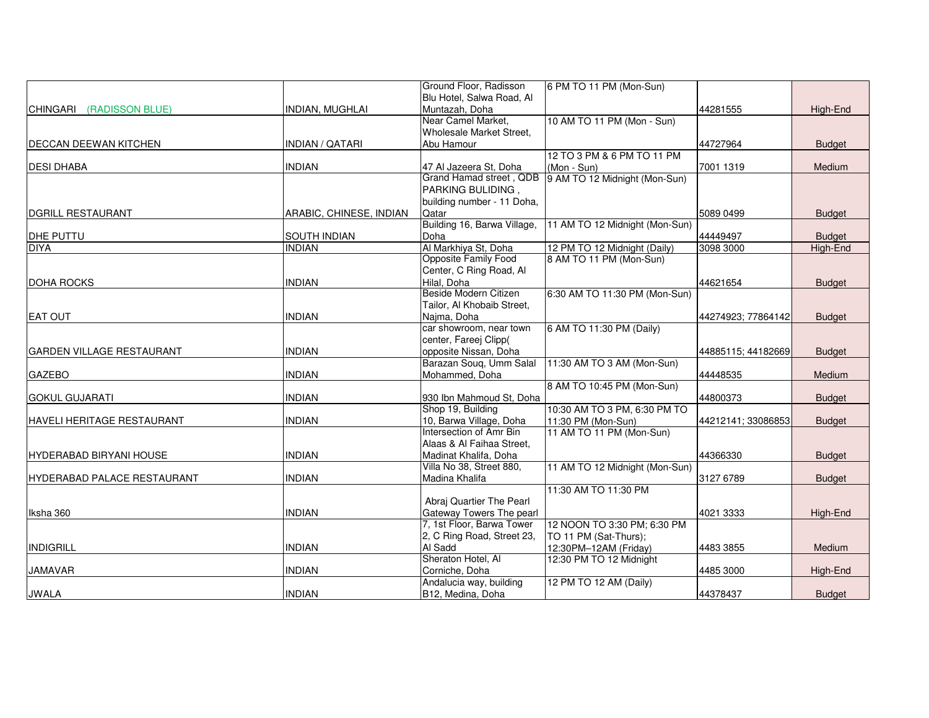|                                  |                         | Ground Floor, Radisson                           | 6 PM TO 11 PM (Mon-Sun)                               |                    |               |
|----------------------------------|-------------------------|--------------------------------------------------|-------------------------------------------------------|--------------------|---------------|
|                                  |                         | Blu Hotel, Salwa Road, Al                        |                                                       |                    |               |
| CHINGARI (RADISSON BLUE)         | <b>INDIAN, MUGHLAI</b>  | Muntazah, Doha                                   |                                                       | 44281555           | High-End      |
|                                  |                         | Near Camel Market,                               | 10 AM TO 11 PM (Mon - Sun)                            |                    |               |
|                                  |                         | Wholesale Market Street,                         |                                                       |                    |               |
| <b>DECCAN DEEWAN KITCHEN</b>     | <b>INDIAN / QATARI</b>  | Abu Hamour                                       |                                                       | 44727964           | <b>Budget</b> |
|                                  |                         |                                                  | 12 TO 3 PM & 6 PM TO 11 PM                            |                    |               |
| <b>DESI DHABA</b>                | <b>INDIAN</b>           | 47 Al Jazeera St. Doha                           | (Mon - Sun)                                           | 7001 1319          | Medium        |
|                                  |                         |                                                  | Grand Hamad street, QDB 9 AM TO 12 Midnight (Mon-Sun) |                    |               |
|                                  |                         | PARKING BULIDING,                                |                                                       |                    |               |
|                                  |                         | building number - 11 Doha,                       |                                                       |                    |               |
| <b>DGRILL RESTAURANT</b>         | ARABIC, CHINESE, INDIAN | Qatar                                            |                                                       | 5089 0499          | <b>Budget</b> |
|                                  |                         | Building 16, Barwa Village,                      | 11 AM TO 12 Midnight (Mon-Sun)                        |                    |               |
| DHE PUTTU                        | <b>SOUTH INDIAN</b>     | Doha                                             |                                                       | 44449497           | <b>Budget</b> |
| <b>DIYA</b>                      | <b>INDIAN</b>           | Al Markhiya St, Doha                             | 12 PM TO 12 Midnight (Daily)                          | 3098 3000          | High-End      |
|                                  |                         | <b>Opposite Family Food</b>                      | 8 AM TO 11 PM (Mon-Sun)                               |                    |               |
|                                  |                         | Center, C Ring Road, Al                          |                                                       |                    |               |
| <b>DOHA ROCKS</b>                | <b>INDIAN</b>           | Hilal, Doha                                      |                                                       | 44621654           | <b>Budget</b> |
|                                  |                         | Beside Modern Citizen                            | 6:30 AM TO 11:30 PM (Mon-Sun)                         |                    |               |
|                                  |                         | Tailor, Al Khobaib Street,                       |                                                       |                    |               |
| <b>EAT OUT</b>                   | <b>INDIAN</b>           | Najma, Doha                                      |                                                       | 44274923; 77864142 | <b>Budget</b> |
|                                  |                         | car showroom, near town                          | 6 AM TO 11:30 PM (Daily)                              |                    |               |
|                                  |                         | center, Fareej Clipp(                            |                                                       |                    |               |
| <b>GARDEN VILLAGE RESTAURANT</b> | <b>INDIAN</b>           | opposite Nissan, Doha<br>Barazan Soug, Umm Salal |                                                       | 44885115; 44182669 | <b>Budget</b> |
|                                  | <b>INDIAN</b>           |                                                  | 11:30 AM TO 3 AM (Mon-Sun)                            |                    |               |
| <b>GAZEBO</b>                    |                         | Mohammed, Doha                                   | 8 AM TO 10:45 PM (Mon-Sun)                            | 44448535           | Medium        |
| <b>GOKUL GUJARATI</b>            | <b>INDIAN</b>           |                                                  |                                                       | 44800373           |               |
|                                  |                         | 930 Ibn Mahmoud St, Doha<br>Shop 19, Building    | 10:30 AM TO 3 PM, 6:30 PM TO                          |                    | <b>Budget</b> |
| HAVELI HERITAGE RESTAURANT       | <b>INDIAN</b>           | 10, Barwa Village, Doha                          | 11:30 PM (Mon-Sun)                                    | 44212141; 33086853 | <b>Budget</b> |
|                                  |                         | Intersection of Amr Bin                          | 11 AM TO 11 PM (Mon-Sun)                              |                    |               |
|                                  |                         | Alaas & Al Faihaa Street,                        |                                                       |                    |               |
| <b>HYDERABAD BIRYANI HOUSE</b>   | <b>INDIAN</b>           | Madinat Khalifa, Doha                            |                                                       | 44366330           | <b>Budget</b> |
|                                  |                         | Villa No 38, Street 880,                         | 11 AM TO 12 Midnight (Mon-Sun)                        |                    |               |
| HYDERABAD PALACE RESTAURANT      | <b>INDIAN</b>           | Madina Khalifa                                   |                                                       | 3127 6789          | <b>Budget</b> |
|                                  |                         |                                                  | 11:30 AM TO 11:30 PM                                  |                    |               |
|                                  |                         | Abraj Quartier The Pearl                         |                                                       |                    |               |
| Iksha 360                        | <b>INDIAN</b>           | Gateway Towers The pearl                         |                                                       | 4021 3333          | High-End      |
|                                  |                         | 7, 1st Floor, Barwa Tower                        | 12 NOON TO 3:30 PM; 6:30 PM                           |                    |               |
|                                  |                         | 2, C Ring Road, Street 23,                       | TO 11 PM (Sat-Thurs);                                 |                    |               |
| <b>INDIGRILL</b>                 | <b>INDIAN</b>           | Al Sadd                                          | 12:30PM-12AM (Friday)                                 | 4483 3855          | Medium        |
|                                  |                         | Sheraton Hotel, Al                               | 12:30 PM TO 12 Midnight                               |                    |               |
| <b>JAMAVAR</b>                   | <b>INDIAN</b>           | Corniche, Doha                                   |                                                       | 4485 3000          | High-End      |
|                                  |                         | Andalucia way, building                          | 12 PM TO 12 AM (Daily)                                |                    |               |
| <b>JWALA</b>                     | <b>INDIAN</b>           | B12, Medina, Doha                                |                                                       | 44378437           | <b>Budget</b> |
|                                  |                         |                                                  |                                                       |                    |               |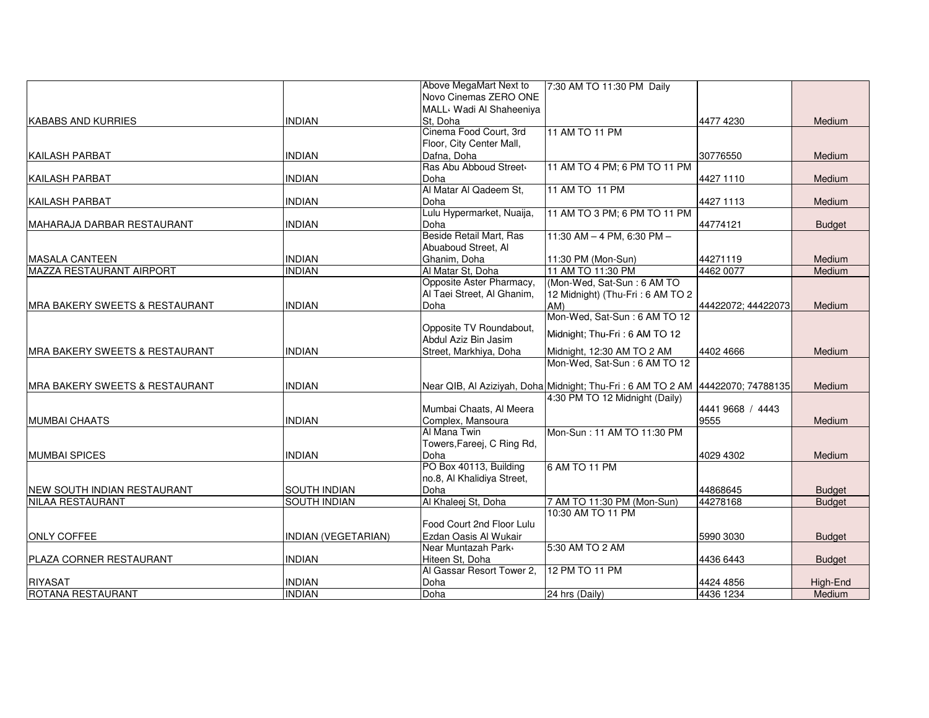|                                     |                     | Above MegaMart Next to     | 7:30 AM TO 11:30 PM Daily                                                      |                    |               |
|-------------------------------------|---------------------|----------------------------|--------------------------------------------------------------------------------|--------------------|---------------|
|                                     |                     | Novo Cinemas ZERO ONE      |                                                                                |                    |               |
|                                     |                     | MALL Wadi Al Shaheeniya    |                                                                                |                    |               |
| <b>KABABS AND KURRIES</b>           | <b>INDIAN</b>       | St. Doha                   |                                                                                | 4477 4230          | Medium        |
|                                     |                     | Cinema Food Court, 3rd     | 11 AM TO 11 PM                                                                 |                    |               |
|                                     |                     | Floor, City Center Mall,   |                                                                                |                    |               |
| <b>KAILASH PARBAT</b>               | <b>INDIAN</b>       | Dafna, Doha                |                                                                                | 30776550           | Medium        |
|                                     |                     | Ras Abu Abboud Street      | 11 AM TO 4 PM; 6 PM TO 11 PM                                                   |                    |               |
| KAILASH PARBAT                      | <b>INDIAN</b>       | Doha                       |                                                                                | 4427 1110          | Medium        |
|                                     |                     | Al Matar Al Qadeem St,     | 11 AM TO 11 PM                                                                 |                    |               |
| <b>KAILASH PARBAT</b>               | <b>INDIAN</b>       | Doha                       |                                                                                | 4427 1113          | Medium        |
|                                     |                     | Lulu Hypermarket, Nuaija,  | 11 AM TO 3 PM; 6 PM TO 11 PM                                                   |                    |               |
| MAHARAJA DARBAR RESTAURANT          | <b>INDIAN</b>       | Doha                       |                                                                                | 44774121           | <b>Budget</b> |
|                                     |                     | Beside Retail Mart, Ras    | 11:30 AM - 4 PM, 6:30 PM -                                                     |                    |               |
|                                     |                     | Abuaboud Street, Al        |                                                                                |                    |               |
| MASALA CANTEEN                      | <b>INDIAN</b>       | Ghanim, Doha               | 11:30 PM (Mon-Sun)                                                             | 44271119           | Medium        |
| <b>MAZZA RESTAURANT AIRPORT</b>     | <b>INDIAN</b>       | Al Matar St, Doha          | 11 AM TO 11:30 PM                                                              | 4462 0077          | Medium        |
|                                     |                     | Opposite Aster Pharmacy,   | (Mon-Wed, Sat-Sun: 6 AM TO                                                     |                    |               |
|                                     |                     | Al Taei Street, Al Ghanim, | 12 Midnight) (Thu-Fri: 6 AM TO 2                                               |                    |               |
| MRA BAKERY SWEETS & RESTAURANT      | <b>INDIAN</b>       | Doha                       | AM)                                                                            | 44422072; 44422073 | Medium        |
|                                     |                     |                            | Mon-Wed, Sat-Sun: 6 AM TO 12                                                   |                    |               |
|                                     |                     | Opposite TV Roundabout,    | Midnight; Thu-Fri: 6 AM TO 12                                                  |                    |               |
|                                     |                     | Abdul Aziz Bin Jasim       |                                                                                |                    |               |
| MRA BAKERY SWEETS & RESTAURANT      | <b>INDIAN</b>       | Street, Markhiya, Doha     | Midnight, 12:30 AM TO 2 AM                                                     | 4402 4666          | Medium        |
|                                     |                     |                            | Mon-Wed, Sat-Sun: 6 AM TO 12                                                   |                    |               |
|                                     |                     |                            |                                                                                |                    |               |
| MRA BAKERY SWEETS & RESTAURANT      | <b>INDIAN</b>       |                            | Near QIB, Al Aziziyah, Doha Midnight; Thu-Fri: 6 AM TO 2 AM 44422070; 74788135 |                    | Medium        |
|                                     |                     |                            | 4:30 PM TO 12 Midnight (Daily)                                                 |                    |               |
|                                     |                     | Mumbai Chaats, Al Meera    |                                                                                | 4441 9668 / 4443   |               |
| <b>MUMBAI CHAATS</b>                | <b>INDIAN</b>       | Complex, Mansoura          |                                                                                | 9555               | Medium        |
|                                     |                     | Al Mana Twin               | Mon-Sun: 11 AM TO 11:30 PM                                                     |                    |               |
|                                     |                     | Towers, Fareej, C Ring Rd, |                                                                                |                    |               |
| <b>MUMBAI SPICES</b>                | <b>INDIAN</b>       | Doha                       |                                                                                | 4029 4302          | Medium        |
|                                     |                     | PO Box 40113, Building     | 6 AM TO 11 PM                                                                  |                    |               |
|                                     |                     | no.8, Al Khalidiya Street, |                                                                                |                    |               |
| <b>INEW SOUTH INDIAN RESTAURANT</b> | <b>SOUTH INDIAN</b> | Doha                       |                                                                                | 44868645           | <b>Budget</b> |
| INILAA RESTAURANT                   | <b>SOUTH INDIAN</b> | Al Khaleej St, Doha        | 7 AM TO 11:30 PM (Mon-Sun)                                                     | 44278168           | <b>Budget</b> |
|                                     |                     |                            | 10:30 AM TO 11 PM                                                              |                    |               |
|                                     |                     | Food Court 2nd Floor Lulu  |                                                                                |                    |               |
| <b>ONLY COFFEE</b>                  | INDIAN (VEGETARIAN) | Ezdan Oasis Al Wukair      |                                                                                | 5990 3030          | <b>Budget</b> |
|                                     |                     | Near Muntazah Park         | 5:30 AM TO 2 AM                                                                |                    |               |
| PLAZA CORNER RESTAURANT             | <b>INDIAN</b>       | Hiteen St, Doha            |                                                                                | 4436 6443          | <b>Budget</b> |
|                                     |                     | Al Gassar Resort Tower 2,  | 12 PM TO 11 PM                                                                 |                    |               |
| <b>RIYASAT</b>                      | <b>INDIAN</b>       | Doha                       |                                                                                | 4424 4856          | High-End      |
| ROTANA RESTAURANT                   | <b>INDIAN</b>       | Doha                       | 24 hrs (Daily)                                                                 | 4436 1234          | Medium        |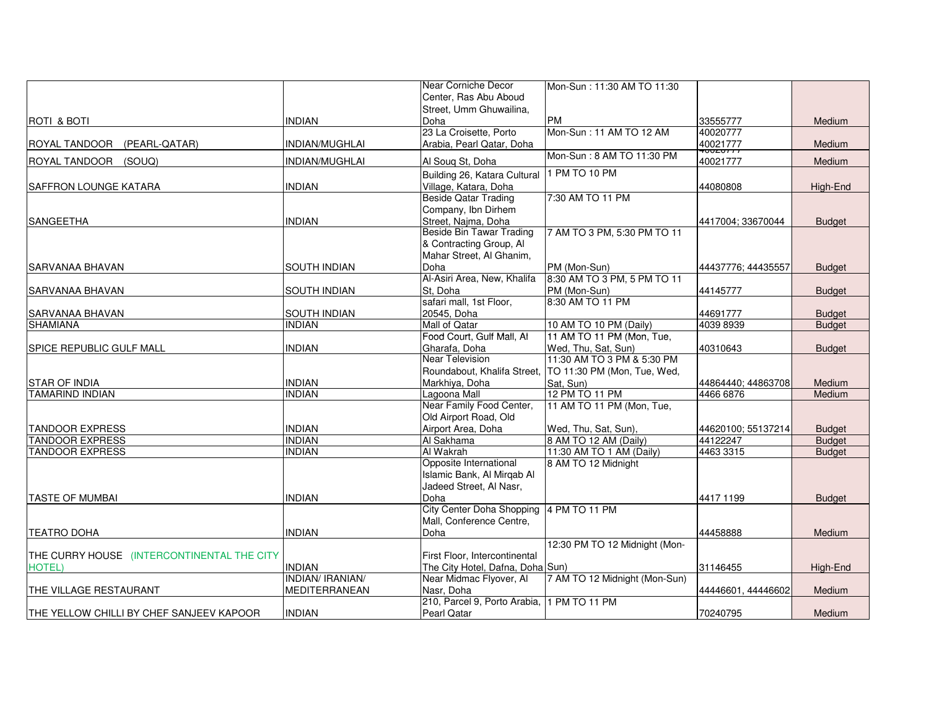|                                            |                         | Near Corniche Decor                        | Mon-Sun: 11:30 AM TO 11:30                              |                    |               |
|--------------------------------------------|-------------------------|--------------------------------------------|---------------------------------------------------------|--------------------|---------------|
|                                            |                         | Center. Ras Abu Aboud                      |                                                         |                    |               |
|                                            |                         | Street, Umm Ghuwailina,                    |                                                         |                    |               |
| <b>ROTI &amp; BOTI</b>                     | <b>INDIAN</b>           | Doha                                       | <b>PM</b>                                               | 33555777           | Medium        |
|                                            |                         | 23 La Croisette, Porto                     | Mon-Sun: 11 AM TO 12 AM                                 | 40020777           |               |
| ROYAL TANDOOR<br>(PEARL-QATAR)             | INDIAN/MUGHLAI          | Arabia, Pearl Qatar, Doha                  |                                                         | 40021777           | Medium        |
| ROYAL TANDOOR (SOUQ)                       | INDIAN/MUGHLAI          | Al Souq St, Doha                           | Mon-Sun: 8 AM TO 11:30 PM                               | 40021777           | Medium        |
|                                            |                         | Building 26, Katara Cultural               | 1 PM TO 10 PM                                           |                    |               |
| SAFFRON LOUNGE KATARA                      | <b>INDIAN</b>           | Village, Katara, Doha                      |                                                         | 44080808           | High-End      |
|                                            |                         | <b>Beside Qatar Trading</b>                | 7:30 AM TO 11 PM                                        |                    |               |
|                                            |                         | Company, Ibn Dirhem                        |                                                         |                    |               |
| <b>SANGEETHA</b>                           | <b>INDIAN</b>           | Street, Najma, Doha                        |                                                         | 4417004; 33670044  | <b>Budget</b> |
|                                            |                         | <b>Beside Bin Tawar Trading</b>            | 7 AM TO 3 PM, 5:30 PM TO 11                             |                    |               |
|                                            |                         | & Contracting Group, Al                    |                                                         |                    |               |
|                                            |                         | Mahar Street, Al Ghanim,                   |                                                         |                    |               |
| SARVANAA BHAVAN                            | <b>SOUTH INDIAN</b>     | Doha                                       | PM (Mon-Sun)                                            | 44437776; 44435557 | <b>Budget</b> |
|                                            |                         | Al-Asiri Area, New, Khalifa                | 8:30 AM TO 3 PM, 5 PM TO 11                             |                    |               |
| SARVANAA BHAVAN                            | <b>SOUTH INDIAN</b>     | St, Doha                                   | PM (Mon-Sun)                                            | 44145777           | <b>Budget</b> |
|                                            |                         | safari mall, 1st Floor,                    | 8:30 AM TO 11 PM                                        |                    |               |
| SARVANAA BHAVAN                            | <b>SOUTH INDIAN</b>     | 20545, Doha                                |                                                         | 44691777           | <b>Budget</b> |
| <b>SHAMIANA</b>                            | <b>INDIAN</b>           | Mall of Qatar                              | 10 AM TO 10 PM (Daily)                                  | 4039 8939          | <b>Budget</b> |
|                                            |                         | Food Court, Gulf Mall, Al                  | 11 AM TO 11 PM (Mon, Tue,                               |                    |               |
| SPICE REPUBLIC GULF MALL                   | <b>INDIAN</b>           | Gharafa, Doha                              | Wed, Thu, Sat, Sun)                                     | 40310643           | <b>Budget</b> |
|                                            |                         | Near Television                            | 11:30 AM TO 3 PM & 5:30 PM                              |                    |               |
|                                            |                         |                                            | Roundabout, Khalifa Street, TO 11:30 PM (Mon, Tue, Wed, |                    |               |
| <b>STAR OF INDIA</b>                       | <b>INDIAN</b>           | Markhiya, Doha                             | Sat, Sun)                                               | 44864440; 44863708 | Medium        |
| <b>TAMARIND INDIAN</b>                     | <b>INDIAN</b>           | Lagoona Mall                               | 12 PM TO 11 PM                                          | 4466 6876          | Medium        |
|                                            |                         | Near Family Food Center,                   | 11 AM TO 11 PM (Mon, Tue,                               |                    |               |
|                                            |                         | Old Airport Road, Old                      |                                                         |                    |               |
| <b>TANDOOR EXPRESS</b>                     | <b>INDIAN</b>           | Airport Area, Doha                         | Wed, Thu, Sat, Sun),                                    | 44620100; 55137214 | <b>Budget</b> |
| <b>TANDOOR EXPRESS</b>                     | <b>INDIAN</b>           | Al Sakhama                                 | 8 AM TO 12 AM (Daily)                                   | 44122247           | <b>Budget</b> |
| <b>TANDOOR EXPRESS</b>                     | <b>INDIAN</b>           | Al Wakrah                                  | 11:30 AM TO 1 AM (Daily)                                | 4463 3315          | <b>Budget</b> |
|                                            |                         | Opposite International                     | 8 AM TO 12 Midnight                                     |                    |               |
|                                            |                         | Islamic Bank, Al Mirqab Al                 |                                                         |                    |               |
|                                            |                         | Jadeed Street, Al Nasr,                    |                                                         |                    |               |
| <b>TASTE OF MUMBAI</b>                     | <b>INDIAN</b>           | Doha                                       |                                                         | 4417 1199          | <b>Budget</b> |
|                                            |                         | City Center Doha Shopping 4 PM TO 11 PM    |                                                         |                    |               |
|                                            |                         | Mall, Conference Centre,                   |                                                         |                    |               |
| <b>TEATRO DOHA</b>                         | <b>INDIAN</b>           | Doha                                       |                                                         | 44458888           | Medium        |
|                                            |                         |                                            | 12:30 PM TO 12 Midnight (Mon-                           |                    |               |
| THE CURRY HOUSE (INTERCONTINENTAL THE CITY |                         | First Floor, Intercontinental              |                                                         |                    |               |
| HOTEL)                                     | <b>INDIAN</b>           | The City Hotel, Dafna, Doha Sun)           |                                                         | 31146455           | High-End      |
|                                            | <b>INDIAN/ IRANIAN/</b> | Near Midmac Flyover, Al                    | 7 AM TO 12 Midnight (Mon-Sun)                           |                    |               |
| THE VILLAGE RESTAURANT                     | MEDITERRANEAN           | Nasr. Doha                                 |                                                         | 44446601, 44446602 | Medium        |
|                                            |                         | 210, Parcel 9, Porto Arabia, 1 PM TO 11 PM |                                                         |                    |               |
| THE YELLOW CHILLI BY CHEF SANJEEV KAPOOR   | <b>INDIAN</b>           | Pearl Qatar                                |                                                         | 70240795           | Medium        |